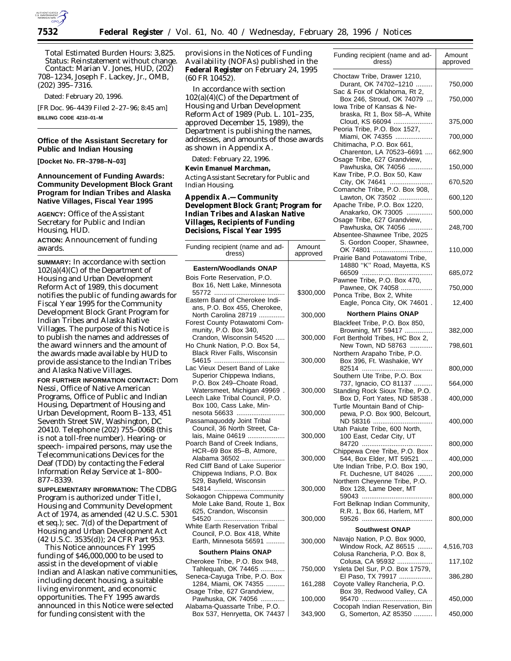

*Total Estimated Burden Hours:* 3,825. *Status:* Reinstatement without change. *Contact:* Marian V. Jones, HUD, (202) 708–1234, Joseph F. Lackey, Jr., OMB, (202) 395–7316.

Dated: February 20, 1996.

[FR Doc. 96–4439 Filed 2–27–96; 8:45 am] **BILLING CODE 4210–01–M**

## **Office of the Assistant Secretary for Public and Indian Housing**

**[Docket No. FR–3798–N–03]**

## **Announcement of Funding Awards: Community Development Block Grant Program for Indian Tribes and Alaska Native Villages, Fiscal Year 1995**

**AGENCY:** Office of the Assistant Secretary for Public and Indian Housing, HUD.

**ACTION:** Announcement of funding awards.

**SUMMARY:** In accordance with section 102(a)(4)(C) of the Department of Housing and Urban Development Reform Act of 1989, this document notifies the public of funding awards for Fiscal Year 1995 for the Community Development Block Grant Program for Indian Tribes and Alaska Native Villages. The purpose of this Notice is to publish the names and addresses of the award winners and the amount of the awards made available by HUD to provide assistance to the Indian Tribes and Alaska Native Villages.

**FOR FURTHER INFORMATION CONTACT:** Dom Nessi, Office of Native American Programs, Office of Public and Indian Housing, Department of Housing and Urban Development, Room B–133, 451 Seventh Street SW, Washington, DC 20410. Telephone (202) 755–0068 (this is not a toll-free number). Hearing- or speech- impaired persons, may use the Telecommunications Devices for the Deaf (TDD) by contacting the Federal Information Relay Service at 1–800– 877–8339.

**SUPPLEMENTARY INFORMATION:** The CDBG Program is authorized under Title I, Housing and Community Development Act of 1974, as amended (42 U.S.C. 5301 et seq.); sec. 7(d) of the Department of Housing and Urban Development Act (42 U.S.C. 3535(d)); 24 CFR Part 953.

This Notice announces FY 1995 funding of \$46,000,000 to be used to assist in the development of viable Indian and Alaskan native communities, including decent housing, a suitable living environment, and economic opportunities. The FY 1995 awards announced in this Notice were selected for funding consistent with the

provisions in the Notices of Funding Availability (NOFAs) published in the **Federal Register** on February 24, 1995 (60 FR 10452).

In accordance with section 102(a)(4)(C) of the Department of Housing and Urban Development Reform Act of 1989 (Pub. L. 101–235, approved December 15, 1989), the Department is publishing the names, addresses, and amounts of those awards as shown in Appendix A.

Dated: February 22, 1996.

**Kevin Emanuel Marchman,**

*Acting Assistant Secretary for Public and Indian Housing.*

**Appendix A.—Community Development Block Grant; Program for Indian Tribes and Alaskan Native Villages, Recipients of Funding Decisions, Fiscal Year 1995**

| Funding recipient (name and ad-<br>dress)                                                                               | Amount<br>approved |
|-------------------------------------------------------------------------------------------------------------------------|--------------------|
| <b>Eastern/Woodlands ONAP</b>                                                                                           |                    |
| Bois Forte Reservation, P.O.<br>Box 16, Nett Lake, Minnesota                                                            | \$300,000          |
| Eastern Band of Cherokee Indi-<br>ans, P.O. Box 455, Cherokee,<br>North Carolina 28719                                  | 300,000            |
| Forest County Potawatomi Com-<br>munity, P.O. Box 340,<br>Crandon, Wisconsin 54520                                      | 300,000            |
| Ho Chunk Nation, P.O. Box 54,<br>Black River Falls, Wisconsin                                                           | 300,000            |
| Lac Vieux Desert Band of Lake<br>Superior Chippewa Indians,<br>P.O. Box 249-Choate Road,<br>Watersmeet, Michigan 49969. | 300,000            |
| Leech Lake Tribal Council, P.O.<br>Box 100, Cass Lake, Min-<br>nesota 56633                                             | 300,000            |
| Passamaquoddy Joint Tribal<br>Council, 36 North Street, Ca-<br>lais, Maine 04619                                        | 300,000            |
| Poarch Band of Creek Indians,<br>HCR-69 Box 85-B, Atmore,<br>Alabama 36502                                              | 300,000            |
| Red Cliff Band of Lake Superior<br>Chippewa Indians, P.O. Box<br>529, Bayfield, Wisconsin                               |                    |
| 54814<br>Sokaogon Chippewa Community<br>Mole Lake Band, Route 1, Box                                                    | 300,000            |
| 625, Crandon, Wisconsin<br>54520<br>White Earth Reservation Tribal                                                      | 300,000            |
| Council, P.O. Box 418, White<br>Earth, Minnesota 56591<br><b>Southern Plains ONAP</b>                                   | 300,000            |
|                                                                                                                         |                    |
| Cherokee Tribe, P.O. Box 948,<br>Tahlequah, OK 74465<br>Seneca-Cayuga Tribe, P.O. Box                                   | 750,000            |
| 1284, Miami, OK 74355<br>Osage Tribe, 627 Grandview,                                                                    | 161,288            |
| Pawhuska, OK 74056<br>Alabama-Quassarte Tribe, P.O.                                                                     | 100,000            |
| Box 537, Henrvetta, OK 74437                                                                                            | 343.900            |

| е        | Funding recipient (name and ad-<br>dress)                                                        | Amount<br>approved |
|----------|--------------------------------------------------------------------------------------------------|--------------------|
| 5        | Choctaw Tribe, Drawer 1210,<br>Durant, OK 74702-1210<br>Sac & Fox of Oklahoma, Rt 2,             | 750,000            |
|          | Box 246, Stroud, OK 74079<br>lowa Tribe of Kansas & Ne-                                          | 750,000            |
|          | braska, Rt 1, Box 58-A, White<br>Cloud, KS 66094                                                 | 375,000            |
| ds.      | Peoria Tribe, P.O. Box 1527,<br>Miami, OK 74355                                                  | 700,000            |
|          | Chitimacha, P.O. Box 661,<br>Charenton, LA 70523-6691                                            | 662,900            |
|          | Osage Tribe, 627 Grandview,<br>Pawhuska, OK 74056                                                | 150,000            |
|          | Kaw Tribe, P.O. Box 50, Kaw<br>City, OK 74641                                                    | 670,520            |
|          | Comanche Tribe, P.O. Box 908,<br>Lawton, OK 73502                                                | 600,120            |
| or       | Apache Tribe, P.O. Box 1220,<br>Anakarko, OK 73005                                               | 500,000            |
|          | Osage Tribe, 627 Grandview,<br>Pawhuska, OK 74056                                                | 248,700            |
| nt<br>ed | Absentee-Shawnee Tribe, 2025<br>S. Gordon Cooper, Shawnee,<br>OK 74801                           | 110,000            |
|          | Prairie Band Potawatomi Tribe,<br>14880 "K" Road, Mayetta, KS                                    | 685,072            |
|          | Pawnee Tribe, P.O. Box 470,<br>Pawnee, OK 74058                                                  | 750,000            |
| 000      | Ponca Tribe, Box 2, White<br>Eagle, Ponca City, OK 74601.                                        | 12,400             |
| 000      | <b>Northern Plains ONAP</b>                                                                      |                    |
|          | Blackfeet Tribe, P.O. Box 850,<br>Browning, MT 59417                                             | 382,000            |
| 000      | Fort Berthold Tribes, HC Box 2,<br>New Town, ND 58763<br>Northern Arapaho Tribe, P.O.            | 798,601            |
| 000      | Box 396, Ft. Washakie, WY                                                                        | 800,000            |
|          | Southern Ute Tribe, P.O. Box<br>737, Ignacio, CO 81137                                           | 564,000            |
| 000      | Standing Rock Sioux Tribe, P.O.<br>Box D, Fort Yates, ND 58538.<br>Turtle Mountain Band of Chip- | 400,000            |
| 000      | pewa, P.O. Box 900, Belcourt,<br>ND 58316<br>Utah Paiute Tribe, 600 North,                       | 400,000            |
| 000      | 100 East, Cedar City, UT                                                                         | 800,000            |
| 000      | Chippewa Cree Tribe, P.O. Box<br>544, Box Elder, MT 59521                                        | 400,000            |
|          | Ute Indian Tribe, P.O. Box 190,<br>Ft. Duchesne, UT 84026                                        | 200,000            |
| 000      | Northern Cheyenne Tribe, P.O.<br>Box 128, Lame Deer, MT                                          | 800,000            |
| 000      | Fort Belknap Indian Community,<br>R.R. 1, Box 66, Harlem, MT                                     | 800,000            |
|          | <b>Southwest ONAP</b>                                                                            |                    |
| 000      | Navajo Nation, P.O. Box 9000,<br>Window Rock, AZ 86515                                           | 4,516,703          |
|          | Colusa Rancheria, P.O. Box 8,<br>Colusa, CA 95932                                                | 117,102            |
| 000      | Ysleta Del Sur, P.O. Box 17579,<br>El Paso, TX 79917                                             | 386,280            |
| 288      | Coyote Valley Rancheria, P.O.<br>Box 39, Redwood Valley, CA                                      |                    |
| 000      | Cocopah Indian Reservation, Bin                                                                  | 450,000            |
| 900      | G. Somerton, AZ 85350                                                                            | 450,000            |